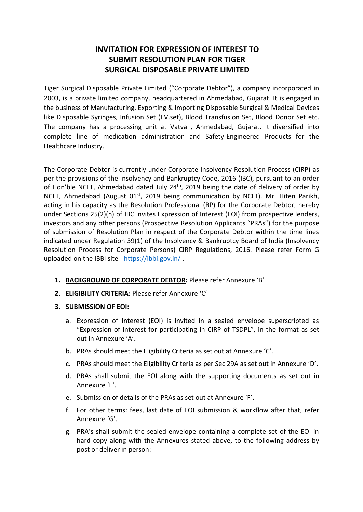# **INVITATION FOR EXPRESSION OF INTEREST TO SUBMIT RESOLUTION PLAN FOR TIGER SURGICAL DISPOSABLE PRIVATE LIMITED**

Tiger Surgical Disposable Private Limited ("Corporate Debtor"), a company incorporated in 2003, is a private limited company, headquartered in Ahmedabad, Gujarat. It is engaged in the business of Manufacturing, Exporting & Importing Disposable Surgical & Medical Devices like Disposable Syringes, Infusion Set (I.V.set), Blood Transfusion Set, Blood Donor Set etc. The company has a processing unit at Vatva , Ahmedabad, Gujarat. It diversified into complete line of medication administration and Safety-Engineered Products for the Healthcare Industry.

The Corporate Debtor is currently under Corporate Insolvency Resolution Process (CIRP) as per the provisions of the Insolvency and Bankruptcy Code, 2016 (IBC), pursuant to an order of Hon'ble NCLT, Ahmedabad dated July 24<sup>th</sup>, 2019 being the date of delivery of order by NCLT, Ahmedabad (August 01<sup>st</sup>, 2019 being communication by NCLT). Mr. Hiten Parikh, acting in his capacity as the Resolution Professional (RP) for the Corporate Debtor, hereby under Sections 25(2)(h) of IBC invites Expression of Interest (EOI) from prospective lenders, investors and any other persons (Prospective Resolution Applicants "PRAs") for the purpose of submission of Resolution Plan in respect of the Corporate Debtor within the time lines indicated under Regulation 39(1) of the Insolvency & Bankruptcy Board of India (Insolvency Resolution Process for Corporate Persons) CIRP Regulations, 2016. Please refer Form G uploaded on the IBBI site - <https://ibbi.gov.in/>.

- **1. BACKGROUND OF CORPORATE DEBTOR:** Please refer Annexure 'B'
- **2. ELIGIBILITY CRITERIA:** Please refer Annexure 'C'
- **3. SUBMISSION OF EOI:** 
	- a. Expression of Interest (EOI) is invited in a sealed envelope superscripted as "Expression of Interest for participating in CIRP of TSDPL", in the format as set out in Annexure 'A'**.**
	- b. PRAs should meet the Eligibility Criteria as set out at Annexure 'C'.
	- c. PRAs should meet the Eligibility Criteria as per Sec 29A as set out in Annexure 'D'.
	- d. PRAs shall submit the EOI along with the supporting documents as set out in Annexure 'E'.
	- e. Submission of details of the PRAs as set out at Annexure 'F'**.**
	- f. For other terms: fees, last date of EOI submission & workflow after that, refer Annexure 'G'.
	- g. PRA's shall submit the sealed envelope containing a complete set of the EOI in hard copy along with the Annexures stated above, to the following address by post or deliver in person: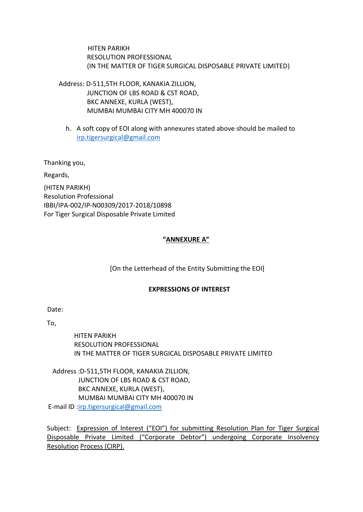HITEN PARIKH RESOLUTION PROFESSIONAL (IN THE MATTER OF TIGER SURGICAL DISPOSABLE PRIVATE LIMITED)

 Address: D-511,5TH FLOOR, KANAKIA ZILLION, JUNCTION OF LBS ROAD & CST ROAD, BKC ANNEXE, KURLA (WEST), MUMBAI MUMBAI CITY MH 400070 IN

h. A soft copy of EOI along with annexures stated above should be mailed to irp.tigersurgical@gmail.com

Thanking you,

Regards,

(HITEN PARIKH) Resolution Professional IBBI/IPA-002/IP-N00309/2017-2018/10898 For Tiger Surgical Disposable Private Limited

# **"ANNEXURE A"**

[On the Letterhead of the Entity Submitting the EOI]

#### **EXPRESSIONS OF INTEREST**

Date:

To,

HITEN PARIKH RESOLUTION PROFESSIONAL IN THE MATTER OF TIGER SURGICAL DISPOSABLE PRIVATE LIMITED

Address :D-511,5TH FLOOR, KANAKIA ZILLION, JUNCTION OF LBS ROAD & CST ROAD, BKC ANNEXE, KURLA (WEST), MUMBAI MUMBAI CITY MH 400070 IN E-mail ID [:irp.tigersurgical@gmail.com](mailto:irp.tigersurgical@gmail.com)

Subject: Expression of Interest ("EOI") for submitting Resolution Plan for Tiger Surgical Disposable Private Limited ("Corporate Debtor") undergoing Corporate Insolvency Resolution Process (CIRP).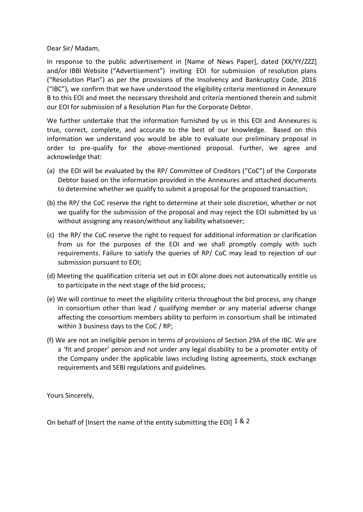Dear Sir/ Madam,

In response to the public advertisement in [Name of News Paper], dated [XX/YY/ZZZ] and/or IBBI Website ("Advertisement") inviting EOI for submission of resolution plans ("Resolution Plan") as per the provisions of the Insolvency and Bankruptcy Code, 2016 ("IBC"), we confirm that we have understood the eligibility criteria mentioned in Annexure B to this EOI and meet the necessary threshold and criteria mentioned therein and submit our EOI for submission of a Resolution Plan for the Corporate Debtor.

We further undertake that the information furnished by us in this EOI and Annexures is true, correct, complete, and accurate to the best of our knowledge. Based on this information we understand you would be able to evaluate our preliminary proposal in order to pre-qualify for the above-mentioned proposal. Further, we agree and acknowledge that:

- (a) the EOI will be evaluated by the RP/ Committee of Creditors ("CoC") of the Corporate Debtor based on the information provided in the Annexures and attached documents to determine whether we qualify to submit a proposal for the proposed transaction;
- (b) the RP/ the CoC reserve the right to determine at their sole discretion, whether or not we qualify for the submission of the proposal and may reject the EOI submitted by us without assigning any reason/without any liability whatsoever;
- (c) the RP/ the CoC reserve the right to request for additional information or clarification from us for the purposes of the EOI and we shall promptly comply with such requirements. Failure to satisfy the queries of RP/ CoC may lead to rejection of our submission pursuant to EOI;
- (d) Meeting the qualification criteria set out in EOI alone does not automatically entitle us to participate in the next stage of the bid process;
- (e) We will continue to meet the eligibility criteria throughout the bid process, any change in consortium other than lead / qualifying member or any material adverse change affecting the consortium members ability to perform in consortium shall be intimated within 3 business days to the CoC / RP;
- (f) We are not an ineligible person in terms of provisions of Section 29A of the IBC. We are a 'fit and proper' person and not under any legal disability to be a promoter entity of the Company under the applicable laws including listing agreements, stock exchange requirements and SEBI regulations and guidelines.

Yours Sincerely,

On behalf of [Insert the name of the entity submitting the EOI]  $1 \& 2$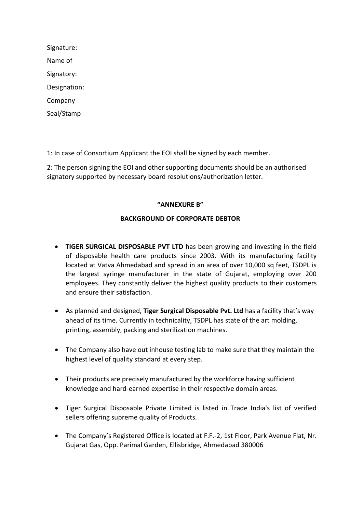| Signature:   |  |
|--------------|--|
| Name of      |  |
| Signatory:   |  |
| Designation: |  |
| Company      |  |
| Seal/Stamp   |  |

1: In case of Consortium Applicant the EOI shall be signed by each member.

2: The person signing the EOI and other supporting documents should be an authorised signatory supported by necessary board resolutions/authorization letter.

#### **"ANNEXURE B"**

# **BACKGROUND OF CORPORATE DEBTOR**

- **TIGER SURGICAL DISPOSABLE PVT LTD** has been growing and investing in the field of disposable health care products since 2003. With its manufacturing facility located at Vatva Ahmedabad and spread in an area of over 10,000 sq feet, TSDPL is the largest syringe manufacturer in the state of Gujarat, employing over 200 employees. They constantly deliver the highest quality products to their customers and ensure their satisfaction.
- As planned and designed, **Tiger Surgical Disposable Pvt. Ltd** has a facility that's way ahead of its time. Currently in technicality, TSDPL has state of the art molding, printing, assembly, packing and sterilization machines.
- The Company also have out inhouse testing lab to make sure that they maintain the highest level of quality standard at every step.
- Their products are precisely manufactured by the workforce having sufficient knowledge and hard-earned expertise in their respective domain areas.
- Tiger Surgical Disposable Private Limited is listed in Trade India's list of verified sellers offering supreme quality of Products.
- The Company's Registered Office is located at F.F.-2, 1st Floor, Park Avenue Flat, Nr. Gujarat Gas, Opp. Parimal Garden, Ellisbridge, Ahmedabad 380006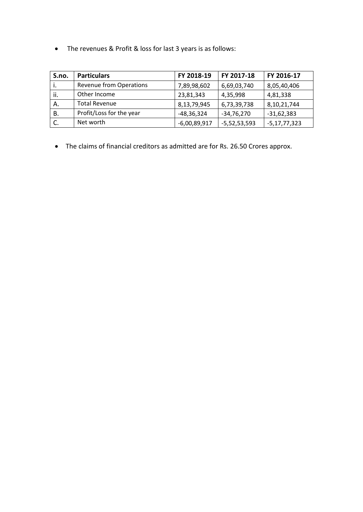• The revenues & Profit & loss for last 3 years is as follows:

| S.no. | <b>Particulars</b>             | FY 2018-19     | FY 2017-18     | FY 2016-17        |
|-------|--------------------------------|----------------|----------------|-------------------|
|       | <b>Revenue from Operations</b> | 7,89,98,602    | 6,69,03,740    | 8,05,40,406       |
| ii.   | Other Income                   | 23,81,343      | 4,35,998       | 4,81,338          |
| Α.    | <b>Total Revenue</b>           | 8,13,79,945    | 6,73,39,738    | 8,10,21,744       |
| В.    | Profit/Loss for the year       | $-48,36,324$   | -34,76,270     | $-31,62,383$      |
|       | Net worth                      | $-6,00,89,917$ | $-5,52,53,593$ | $-5, 17, 77, 323$ |

• The claims of financial creditors as admitted are for Rs. 26.50 Crores approx.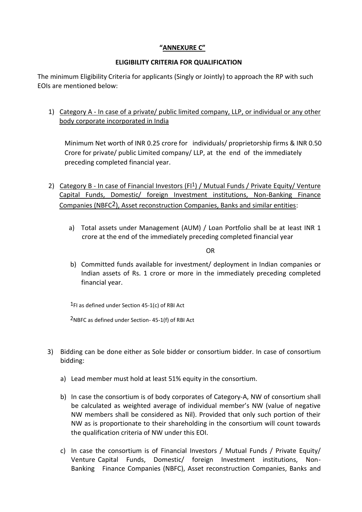# **"ANNEXURE C"**

# **ELIGIBILITY CRITERIA FOR QUALIFICATION**

The minimum Eligibility Criteria for applicants (Singly or Jointly) to approach the RP with such EOIs are mentioned below:

# 1) Category A - In case of a private/ public limited company, LLP, or individual or any other body corporate incorporated in India

Minimum Net worth of INR 0.25 crore for individuals/ proprietorship firms & INR 0.50 Crore for private/ public Limited company/ LLP, at the end of the immediately preceding completed financial year.

- 2) Category B In case of Financial Investors (FI<sup>1</sup>) / Mutual Funds / Private Equity/ Venture Capital Funds, Domestic/ foreign Investment institutions, Non-Banking Finance Companies (NBFC2), Asset reconstruction Companies, Banks and similar entities:
	- a) Total assets under Management (AUM) / Loan Portfolio shall be at least INR 1 crore at the end of the immediately preceding completed financial year

**OR** Service of the state of the state of the state of the state of the state of the state of the state of the state of the state of the state of the state of the state of the state of the state of the state of the state o

b) Committed funds available for investment/ deployment in Indian companies or Indian assets of Rs. 1 crore or more in the immediately preceding completed financial year.

 $1$ FI as defined under Section 45-1(c) of RBI Act

2NBFC as defined under Section- 45-1(f) of RBI Act

- 3) Bidding can be done either as Sole bidder or consortium bidder. In case of consortium bidding:
	- a) Lead member must hold at least 51% equity in the consortium.
	- b) In case the consortium is of body corporates of Category-A, NW of consortium shall be calculated as weighted average of individual member's NW (value of negative NW members shall be considered as Nil). Provided that only such portion of their NW as is proportionate to their shareholding in the consortium will count towards the qualification criteria of NW under this EOI.
	- c) In case the consortium is of Financial Investors / Mutual Funds / Private Equity/ Venture Capital Funds, Domestic/ foreign Investment institutions, Non-Banking Finance Companies (NBFC), Asset reconstruction Companies, Banks and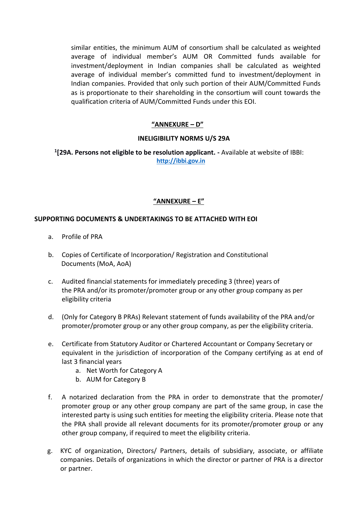similar entities, the minimum AUM of consortium shall be calculated as weighted average of individual member's AUM OR Committed funds available for investment/deployment in Indian companies shall be calculated as weighted average of individual member's committed fund to investment/deployment in Indian companies. Provided that only such portion of their AUM/Committed Funds as is proportionate to their shareholding in the consortium will count towards the qualification criteria of AUM/Committed Funds under this EOI.

# **"ANNEXURE – D"**

#### **INELIGIBILITY NORMS U/S 29A**

**1 [29A. Persons not eligible to be resolution applicant. -** Available at website of IBBI: **[http://ibbi.gov.in](http://ibbi.gov.in/)**

# **"ANNEXURE – E"**

#### **SUPPORTING DOCUMENTS & UNDERTAKINGS TO BE ATTACHED WITH EOI**

- a. Profile of PRA
- b. Copies of Certificate of Incorporation/ Registration and Constitutional Documents (MoA, AoA)
- c. Audited financial statements for immediately preceding 3 (three) years of the PRA and/or its promoter/promoter group or any other group company as per eligibility criteria
- d. (Only for Category B PRAs) Relevant statement of funds availability of the PRA and/or promoter/promoter group or any other group company, as per the eligibility criteria.
- e. Certificate from Statutory Auditor or Chartered Accountant or Company Secretary or equivalent in the jurisdiction of incorporation of the Company certifying as at end of last 3 financial years
	- a. Net Worth for Category A
	- b. AUM for Category B
- f. A notarized declaration from the PRA in order to demonstrate that the promoter/ promoter group or any other group company are part of the same group, in case the interested party is using such entities for meeting the eligibility criteria. Please note that the PRA shall provide all relevant documents for its promoter/promoter group or any other group company, if required to meet the eligibility criteria.
- g. KYC of organization, Directors/ Partners, details of subsidiary, associate, or affiliate companies. Details of organizations in which the director or partner of PRA is a director or partner.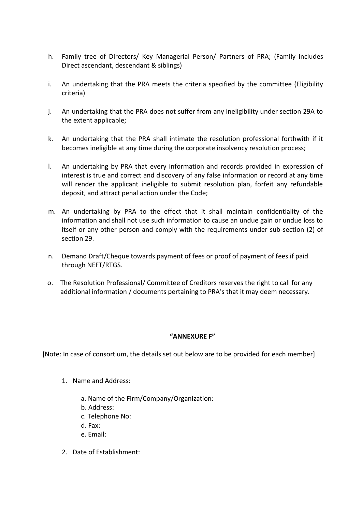- h. Family tree of Directors/ Key Managerial Person/ Partners of PRA; (Family includes Direct ascendant, descendant & siblings)
- i. An undertaking that the PRA meets the criteria specified by the committee (Eligibility criteria)
- j. An undertaking that the PRA does not suffer from any ineligibility under section 29A to the extent applicable;
- k. An undertaking that the PRA shall intimate the resolution professional forthwith if it becomes ineligible at any time during the corporate insolvency resolution process;
- l. An undertaking by PRA that every information and records provided in expression of interest is true and correct and discovery of any false information or record at any time will render the applicant ineligible to submit resolution plan, forfeit any refundable deposit, and attract penal action under the Code;
- m. An undertaking by PRA to the effect that it shall maintain confidentiality of the information and shall not use such information to cause an undue gain or undue loss to itself or any other person and comply with the requirements under sub-section (2) of section 29.
- n. Demand Draft/Cheque towards payment of fees or proof of payment of fees if paid through NEFT/RTGS.
- o. The Resolution Professional/ Committee of Creditors reserves the right to call for any additional information / documents pertaining to PRA's that it may deem necessary.

# **"ANNEXURE F"**

[Note: In case of consortium, the details set out below are to be provided for each member]

- 1. Name and Address:
	- a. Name of the Firm/Company/Organization:
	- b. Address:
	- c. Telephone No:
	- d. Fax:
	- e. Email:
- 2. Date of Establishment: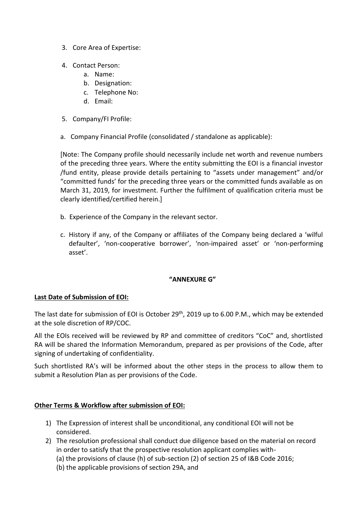- 3. Core Area of Expertise:
- 4. Contact Person:
	- a. Name:
	- b. Designation:
	- c. Telephone No:
	- d. Email:
- 5. Company/FI Profile:
- a. Company Financial Profile (consolidated / standalone as applicable):

[Note: The Company profile should necessarily include net worth and revenue numbers of the preceding three years. Where the entity submitting the EOI is a financial investor /fund entity, please provide details pertaining to "assets under management" and/or "committed funds' for the preceding three years or the committed funds available as on March 31, 2019, for investment. Further the fulfilment of qualification criteria must be clearly identified/certified herein.]

- b. Experience of the Company in the relevant sector.
- c. History if any, of the Company or affiliates of the Company being declared a 'wilful defaulter', 'non-cooperative borrower', 'non-impaired asset' or 'non-performing asset'.

# **"ANNEXURE G"**

# **Last Date of Submission of EOI:**

The last date for submission of EOI is October 29<sup>th</sup>, 2019 up to 6.00 P.M., which may be extended at the sole discretion of RP/COC.

All the EOIs received will be reviewed by RP and committee of creditors "CoC" and, shortlisted RA will be shared the Information Memorandum, prepared as per provisions of the Code, after signing of undertaking of confidentiality.

Such shortlisted RA's will be informed about the other steps in the process to allow them to submit a Resolution Plan as per provisions of the Code.

# **Other Terms & Workflow after submission of EOI:**

- 1) The Expression of interest shall be unconditional, any conditional EOI will not be considered.
- 2) The resolution professional shall conduct due diligence based on the material on record in order to satisfy that the prospective resolution applicant complies with-
	- (a) the provisions of clause (h) of sub-section (2) of section 25 of I&B Code 2016;
	- (b) the applicable provisions of section 29A, and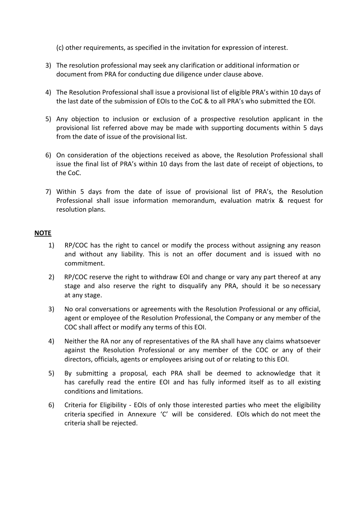(c) other requirements, as specified in the invitation for expression of interest.

- 3) The resolution professional may seek any clarification or additional information or document from PRA for conducting due diligence under clause above.
- 4) The Resolution Professional shall issue a provisional list of eligible PRA's within 10 days of the last date of the submission of EOIs to the CoC & to all PRA's who submitted the EOI.
- 5) Any objection to inclusion or exclusion of a prospective resolution applicant in the provisional list referred above may be made with supporting documents within 5 days from the date of issue of the provisional list.
- 6) On consideration of the objections received as above, the Resolution Professional shall issue the final list of PRA's within 10 days from the last date of receipt of objections, to the CoC.
- 7) Within 5 days from the date of issue of provisional list of PRA's, the Resolution Professional shall issue information memorandum, evaluation matrix & request for resolution plans.

#### **NOTE**

- 1) RP/COC has the right to cancel or modify the process without assigning any reason and without any liability. This is not an offer document and is issued with no commitment.
- 2) RP/COC reserve the right to withdraw EOI and change or vary any part thereof at any stage and also reserve the right to disqualify any PRA, should it be so necessary at any stage.
- 3) No oral conversations or agreements with the Resolution Professional or any official, agent or employee of the Resolution Professional, the Company or any member of the COC shall affect or modify any terms of this EOI.
- 4) Neither the RA nor any of representatives of the RA shall have any claims whatsoever against the Resolution Professional or any member of the COC or any of their directors, officials, agents or employees arising out of or relating to this EOI.
- 5) By submitting a proposal, each PRA shall be deemed to acknowledge that it has carefully read the entire EOI and has fully informed itself as to all existing conditions and limitations.
- 6) Criteria for Eligibility EOIs of only those interested parties who meet the eligibility criteria specified in Annexure 'C' will be considered. EOIs which do not meet the criteria shall be rejected.